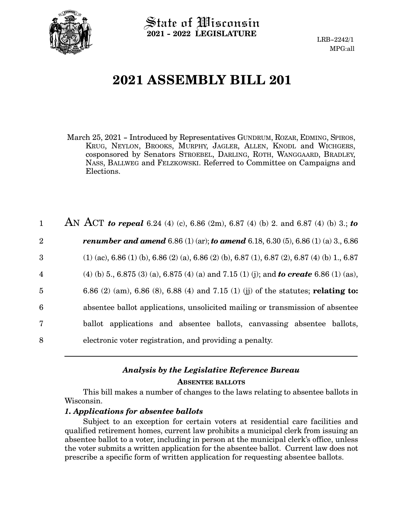

State of Wisconsin **2021 - 2022 LEGISLATURE**

LRB-2242/1 MPG:all

# **2021 ASSEMBLY BILL 201**

March 25, 2021 - Introduced by Representatives GUNDRUM, ROZAR, EDMING, SPIROS, KRUG, NEYLON, BROOKS, MURPHY, JAGLER, ALLEN, KNODL and WICHGERS, cosponsored by Senators STROEBEL, DARLING, ROTH, WANGGAARD, BRADLEY, NASS, BALLWEG and FELZKOWSKI. Referred to Committee on Campaigns and Elections.

| $\mathbf{1}$   | AN ACT to repeal 6.24 (4) (c), 6.86 (2m), 6.87 (4) (b) 2. and 6.87 (4) (b) 3.; to              |
|----------------|------------------------------------------------------------------------------------------------|
| $\overline{2}$ | <b>renumber and amend</b> 6.86 (1) (ar); <b>to amend</b> 6.18, 6.30 (5), 6.86 (1) (a) 3., 6.86 |
| $\overline{3}$ | $(1)$ (ac), 6.86 (1) (b), 6.86 (2) (a), 6.86 (2) (b), 6.87 (1), 6.87 (2), 6.87 (4) (b) 1, 6.87 |
| $\overline{4}$ | (4) (b) 5., 6.875 (3) (a), 6.875 (4) (a) and 7.15 (1) (j); and <b>to create</b> 6.86 (1) (as), |
| $\overline{5}$ | 6.86 (2) (am), 6.86 (8), 6.88 (4) and 7.15 (1) (ii) of the statutes; relating to:              |
| 6              | absentee ballot applications, unsolicited mailing or transmission of absentee                  |
| 7              | ballot applications and absentee ballots, canvassing absentee ballots,                         |
| 8              | electronic voter registration, and providing a penalty.                                        |

#### *Analysis by the Legislative Reference Bureau* **ABSENTEE BALLOTS**

This bill makes a number of changes to the laws relating to absentee ballots in Wisconsin.

#### *1. Applications for absentee ballots*

Subject to an exception for certain voters at residential care facilities and qualified retirement homes, current law prohibits a municipal clerk from issuing an absentee ballot to a voter, including in person at the municipal clerk's office, unless the voter submits a written application for the absentee ballot. Current law does not prescribe a specific form of written application for requesting absentee ballots.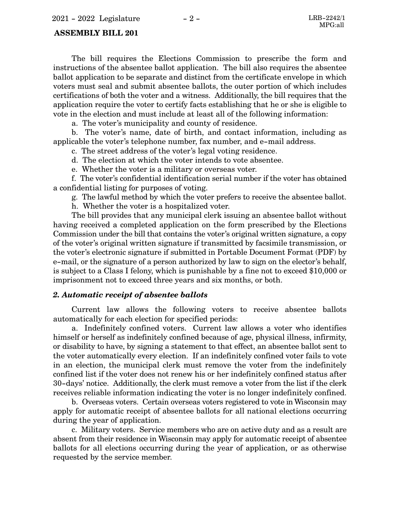#### **ASSEMBLY BILL 201**

The bill requires the Elections Commission to prescribe the form and instructions of the absentee ballot application. The bill also requires the absentee ballot application to be separate and distinct from the certificate envelope in which voters must seal and submit absentee ballots, the outer portion of which includes certifications of both the voter and a witness. Additionally, the bill requires that the application require the voter to certify facts establishing that he or she is eligible to vote in the election and must include at least all of the following information:

a. The voter's municipality and county of residence.

b. The voter's name, date of birth, and contact information, including as applicable the voter's telephone number, fax number, and e-mail address.

c. The street address of the voter's legal voting residence.

d. The election at which the voter intends to vote absentee.

e. Whether the voter is a military or overseas voter.

f. The voter's confidential identification serial number if the voter has obtained a confidential listing for purposes of voting.

g. The lawful method by which the voter prefers to receive the absentee ballot.

h. Whether the voter is a hospitalized voter.

The bill provides that any municipal clerk issuing an absentee ballot without having received a completed application on the form prescribed by the Elections Commission under the bill that contains the voter's original written signature, a copy of the voter's original written signature if transmitted by facsimile transmission, or the voter's electronic signature if submitted in Portable Document Format (PDF) by e-mail, or the signature of a person authorized by law to sign on the elector's behalf, is subject to a Class I felony, which is punishable by a fine not to exceed \$10,000 or imprisonment not to exceed three years and six months, or both.

#### *2. Automatic receipt of absentee ballots*

Current law allows the following voters to receive absentee ballots automatically for each election for specified periods:

a. Indefinitely confined voters. Current law allows a voter who identifies himself or herself as indefinitely confined because of age, physical illness, infirmity, or disability to have, by signing a statement to that effect, an absentee ballot sent to the voter automatically every election. If an indefinitely confined voter fails to vote in an election, the municipal clerk must remove the voter from the indefinitely confined list if the voter does not renew his or her indefinitely confined status after 30-days' notice. Additionally, the clerk must remove a voter from the list if the clerk receives reliable information indicating the voter is no longer indefinitely confined.

b. Overseas voters. Certain overseas voters registered to vote in Wisconsin may apply for automatic receipt of absentee ballots for all national elections occurring during the year of application.

c. Military voters. Service members who are on active duty and as a result are absent from their residence in Wisconsin may apply for automatic receipt of absentee ballots for all elections occurring during the year of application, or as otherwise requested by the service member.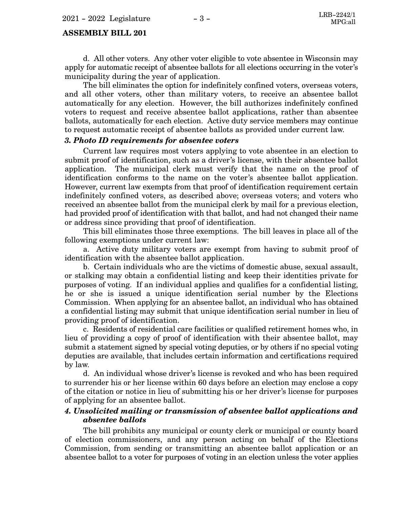#### **ASSEMBLY BILL 201**

d. All other voters. Any other voter eligible to vote absentee in Wisconsin may apply for automatic receipt of absentee ballots for all elections occurring in the voter's municipality during the year of application.

The bill eliminates the option for indefinitely confined voters, overseas voters, and all other voters, other than military voters, to receive an absentee ballot automatically for any election. However, the bill authorizes indefinitely confined voters to request and receive absentee ballot applications, rather than absentee ballots, automatically for each election. Active duty service members may continue to request automatic receipt of absentee ballots as provided under current law.

#### *3. Photo ID requirements for absentee voters*

Current law requires most voters applying to vote absentee in an election to submit proof of identification, such as a driver's license, with their absentee ballot application. The municipal clerk must verify that the name on the proof of identification conforms to the name on the voter's absentee ballot application. However, current law exempts from that proof of identification requirement certain indefinitely confined voters, as described above; overseas voters; and voters who received an absentee ballot from the municipal clerk by mail for a previous election, had provided proof of identification with that ballot, and had not changed their name or address since providing that proof of identification.

This bill eliminates those three exemptions. The bill leaves in place all of the following exemptions under current law:

a. Active duty military voters are exempt from having to submit proof of identification with the absentee ballot application.

b. Certain individuals who are the victims of domestic abuse, sexual assault, or stalking may obtain a confidential listing and keep their identities private for purposes of voting. If an individual applies and qualifies for a confidential listing, he or she is issued a unique identification serial number by the Elections Commission. When applying for an absentee ballot, an individual who has obtained a confidential listing may submit that unique identification serial number in lieu of providing proof of identification.

c. Residents of residential care facilities or qualified retirement homes who, in lieu of providing a copy of proof of identification with their absentee ballot, may submit a statement signed by special voting deputies, or by others if no special voting deputies are available, that includes certain information and certifications required by law.

d. An individual whose driver's license is revoked and who has been required to surrender his or her license within 60 days before an election may enclose a copy of the citation or notice in lieu of submitting his or her driver's license for purposes of applying for an absentee ballot.

#### *4. Unsolicited mailing or transmission of absentee ballot applications and absentee ballots*

The bill prohibits any municipal or county clerk or municipal or county board of election commissioners, and any person acting on behalf of the Elections Commission, from sending or transmitting an absentee ballot application or an absentee ballot to a voter for purposes of voting in an election unless the voter applies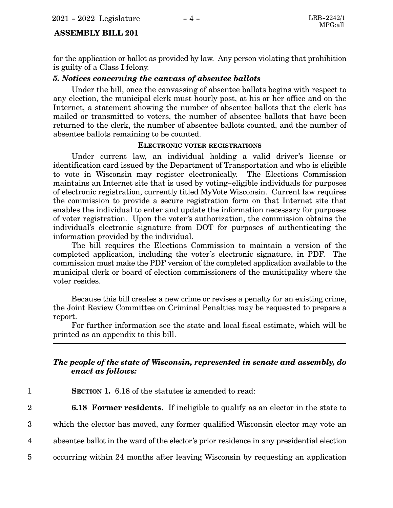#### **ASSEMBLY BILL 201**

for the application or ballot as provided by law. Any person violating that prohibition is guilty of a Class I felony.

#### *5. Notices concerning the canvass of absentee ballots*

Under the bill, once the canvassing of absentee ballots begins with respect to any election, the municipal clerk must hourly post, at his or her office and on the Internet, a statement showing the number of absentee ballots that the clerk has mailed or transmitted to voters, the number of absentee ballots that have been returned to the clerk, the number of absentee ballots counted, and the number of absentee ballots remaining to be counted.

#### **ELECTRONIC VOTER REGISTRATIONS**

Under current law, an individual holding a valid driver's license or identification card issued by the Department of Transportation and who is eligible to vote in Wisconsin may register electronically. The Elections Commission maintains an Internet site that is used by voting-eligible individuals for purposes of electronic registration, currently titled MyVote Wisconsin. Current law requires the commission to provide a secure registration form on that Internet site that enables the individual to enter and update the information necessary for purposes of voter registration. Upon the voter's authorization, the commission obtains the individual's electronic signature from DOT for purposes of authenticating the information provided by the individual.

The bill requires the Elections Commission to maintain a version of the completed application, including the voter's electronic signature, in PDF. The commission must make the PDF version of the completed application available to the municipal clerk or board of election commissioners of the municipality where the voter resides.

Because this bill creates a new crime or revises a penalty for an existing crime, the Joint Review Committee on Criminal Penalties may be requested to prepare a report.

For further information see the state and local fiscal estimate, which will be printed as an appendix to this bill.

#### *The people of the state of Wisconsin, represented in senate and assembly, do enact as follows:*

- **SECTION 1.** 6.18 of the statutes is amended to read: 1
- 2

**6.18 Former residents.** If ineligible to qualify as an elector in the state to

which the elector has moved, any former qualified Wisconsin elector may vote an 3

absentee ballot in the ward of the elector's prior residence in any presidential election 4

occurring within 24 months after leaving Wisconsin by requesting an application 5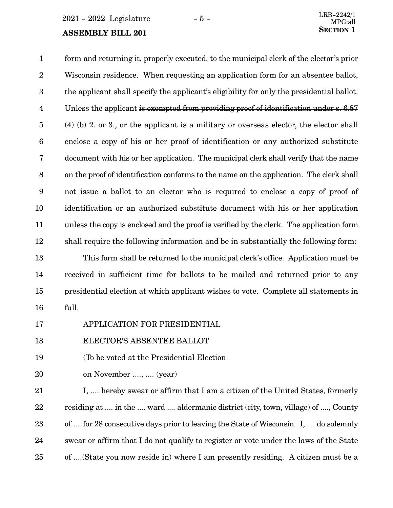$2021 - 2022$  Legislature  $-5 -$ 

## **SECTION 1** SECTION 1

form and returning it, properly executed, to the municipal clerk of the elector's prior Wisconsin residence. When requesting an application form for an absentee ballot, the applicant shall specify the applicant's eligibility for only the presidential ballot. Unless the applicant is exempted from providing proof of identification under s. 6.87 (4) (b) 2. or 3., or the applicant is a military or overseas elector, the elector shall enclose a copy of his or her proof of identification or any authorized substitute document with his or her application. The municipal clerk shall verify that the name on the proof of identification conforms to the name on the application. The clerk shall not issue a ballot to an elector who is required to enclose a copy of proof of identification or an authorized substitute document with his or her application unless the copy is enclosed and the proof is verified by the clerk. The application form shall require the following information and be in substantially the following form: 1 2 3 4 5 6 7 8 9 10 11 12

This form shall be returned to the municipal clerk's office. Application must be received in sufficient time for ballots to be mailed and returned prior to any presidential election at which applicant wishes to vote. Complete all statements in full. 13 14 15 16

- APPLICATION FOR PRESIDENTIAL 17
- ELECTOR'S ABSENTEE BALLOT 18
- (To be voted at the Presidential Election 19
- on November ...., .... (year) 20

I, .... hereby swear or affirm that I am a citizen of the United States, formerly residing at .... in the .... ward .... aldermanic district (city, town, village) of ...., County of .... for 28 consecutive days prior to leaving the State of Wisconsin. I, .... do solemnly swear or affirm that I do not qualify to register or vote under the laws of the State of ....(State you now reside in) where I am presently residing. A citizen must be a 21 22 23 24 25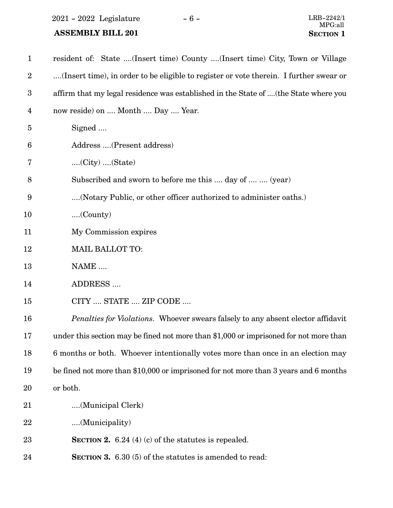$2021 - 2022$  Legislature  $-6 -$ 

 **ASSEMBLY BILL 201** 

| $\mathbf{1}$            | resident of: State (Insert time) County (Insert time) City, Town or Village             |
|-------------------------|-----------------------------------------------------------------------------------------|
| $\boldsymbol{2}$        | (Insert time), in order to be eligible to register or vote therein. I further swear or  |
| $\boldsymbol{3}$        | affirm that my legal residence was established in the State of  (the State where you    |
| $\overline{\mathbf{4}}$ | now reside) on  Month  Day  Year.                                                       |
| 5                       | Signed                                                                                  |
| 6                       | Address (Present address)                                                               |
| 7                       | $(City)$ $(State)$                                                                      |
| 8                       | Subscribed and sworn to before me this  day of   (year)                                 |
| 9                       | (Notary Public, or other officer authorized to administer oaths.)                       |
| 10                      | (Country)                                                                               |
| 11                      | My Commission expires                                                                   |
| 12                      | <b>MAIL BALLOT TO:</b>                                                                  |
| 13                      | NAME                                                                                    |
| 14                      | ADDRESS                                                                                 |
| 15                      | CITY  STATE  ZIP CODE                                                                   |
| 16                      | <i>Penalties for Violations.</i> Whoever swears falsely to any absent elector affidavit |
| 17                      | under this section may be fined not more than \$1,000 or imprisoned for not more than   |
| 18                      | 6 months or both. Whoever intentionally votes more than once in an election may         |
| 19                      | be fined not more than \$10,000 or imprisoned for not more than 3 years and 6 months    |
| 20                      | or both.                                                                                |
| 21                      | (Municipal Clerk)                                                                       |
| 22                      | (Municipality)                                                                          |
| 23                      | <b>SECTION 2.</b> 6.24 (4) (c) of the statutes is repealed.                             |
| 24                      | SECTION 3. 6.30 (5) of the statutes is amended to read:                                 |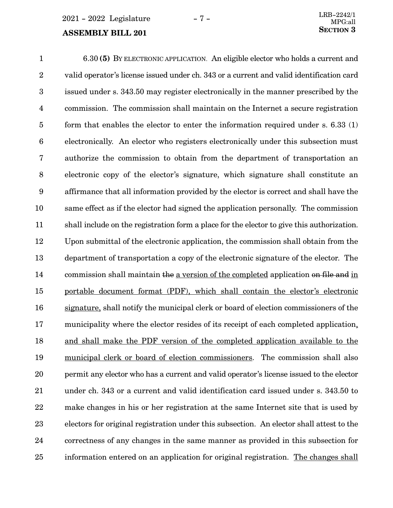## **SECTION** 3

6.30 **(5)** BY ELECTRONIC APPLICATION. An eligible elector who holds a current and valid operator's license issued under ch. 343 or a current and valid identification card issued under s. 343.50 may register electronically in the manner prescribed by the commission. The commission shall maintain on the Internet a secure registration form that enables the elector to enter the information required under s. 6.33 (1) electronically. An elector who registers electronically under this subsection must authorize the commission to obtain from the department of transportation an electronic copy of the elector's signature, which signature shall constitute an affirmance that all information provided by the elector is correct and shall have the same effect as if the elector had signed the application personally. The commission shall include on the registration form a place for the elector to give this authorization. Upon submittal of the electronic application, the commission shall obtain from the department of transportation a copy of the electronic signature of the elector. The commission shall maintain the a version of the completed application on file and in portable document format (PDF), which shall contain the elector's electronic signature, shall notify the municipal clerk or board of election commissioners of the municipality where the elector resides of its receipt of each completed application, and shall make the PDF version of the completed application available to the municipal clerk or board of election commissioners. The commission shall also permit any elector who has a current and valid operator's license issued to the elector under ch. 343 or a current and valid identification card issued under s. 343.50 to make changes in his or her registration at the same Internet site that is used by electors for original registration under this subsection. An elector shall attest to the correctness of any changes in the same manner as provided in this subsection for information entered on an application for original registration. The changes shall 1 2 3 4 5 6 7 8 9 10 11 12 13 14 15 16 17 18 19 20 21 22 23 24 25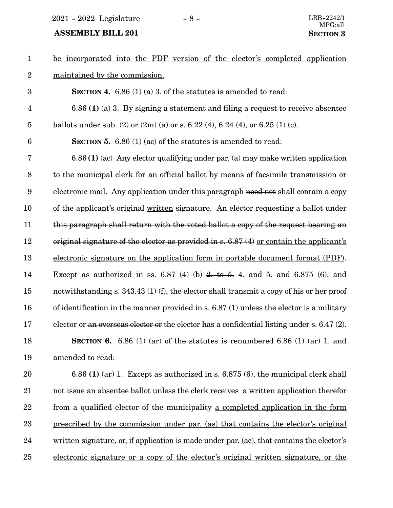2021 - 2022 Legislature - 8 - LRB-2242/1

#### **ASSEMBLY BILL 201 SECTION** 3

3

- be incorporated into the PDF version of the elector's completed application maintained by the commission. 1 2
- 6.86 **(1)** (a) 3. By signing a statement and filing a request to receive absentee ballots under sub.  $(2)$  or  $(2m)$   $(a)$  or s. 6.22  $(4)$ , 6.24  $(4)$ , or 6.25  $(1)$   $(c)$ . 4 5

**SECTION 4.** 6.86 (1) (a) 3. of the statutes is amended to read:

**SECTION 5.** 6.86 (1) (ac) of the statutes is amended to read: 6

6.86 **(1)** (ac) Any elector qualifying under par. (a) may make written application to the municipal clerk for an official ballot by means of facsimile transmission or electronic mail. Any application under this paragraph need not shall contain a copy of the applicant's original written signature. An elector requesting a ballot under this paragraph shall return with the voted ballot a copy of the request bearing an original signature of the elector as provided in s. 6.87 (4) or contain the applicant's electronic signature on the application form in portable document format (PDF). Except as authorized in ss.  $6.87$  (4) (b)  $2.$  to  $5.$   $4.$  and  $5.$  and  $6.875$  (6), and notwithstanding s. 343.43 (1) (f), the elector shall transmit a copy of his or her proof of identification in the manner provided in s. 6.87 (1) unless the elector is a military elector or an overseas elector or the elector has a confidential listing under s. 6.47 (2). **SECTION 6.** 6.86 (1) (ar) of the statutes is renumbered 6.86 (1) (ar) 1. and amended to read: 7 8 9 10 11 12 13 14 15 16 17 18 19

6.86 **(1)** (ar) 1. Except as authorized in s. 6.875 (6), the municipal clerk shall not issue an absentee ballot unless the clerk receives a written application therefor from a qualified elector of the municipality a completed application in the form prescribed by the commission under par. (as) that contains the elector's original written signature, or, if application is made under par. (ac), that contains the elector's electronic signature or a copy of the elector's original written signature, or the 20 21 22 23 24 25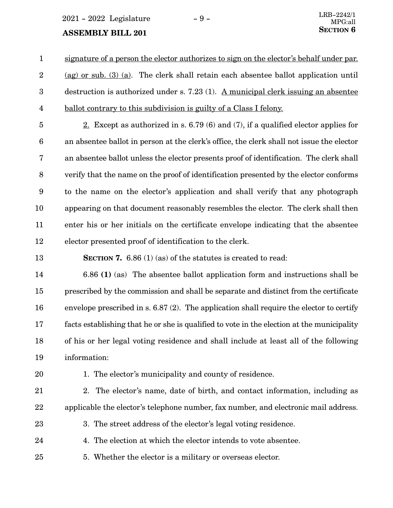$2021 - 2022$  Legislature  $-9 -$ 

## **SECTION 6** SECTION 6

signature of a person the elector authorizes to sign on the elector's behalf under par. (ag) or sub.  $(3)$  (a). The clerk shall retain each absentee ballot application until destruction is authorized under s.  $7.23$  (1). A municipal clerk issuing an absentee ballot contrary to this subdivision is guilty of a Class I felony. 1 2 3 4

2. Except as authorized in s. 6.79 (6) and (7), if a qualified elector applies for an absentee ballot in person at the clerk's office, the clerk shall not issue the elector an absentee ballot unless the elector presents proof of identification. The clerk shall verify that the name on the proof of identification presented by the elector conforms to the name on the elector's application and shall verify that any photograph appearing on that document reasonably resembles the elector. The clerk shall then enter his or her initials on the certificate envelope indicating that the absentee elector presented proof of identification to the clerk. 5 6 7 8 9 10 11 12

**SECTION 7.** 6.86 (1) (as) of the statutes is created to read:

6.86 **(1)** (as) The absentee ballot application form and instructions shall be prescribed by the commission and shall be separate and distinct from the certificate envelope prescribed in s. 6.87 (2). The application shall require the elector to certify facts establishing that he or she is qualified to vote in the election at the municipality of his or her legal voting residence and shall include at least all of the following information: 14 15 16 17 18 19

20

13

1. The elector's municipality and county of residence.

- 2. The elector's name, date of birth, and contact information, including as applicable the elector's telephone number, fax number, and electronic mail address. 21 22
- 3. The street address of the elector's legal voting residence. 23

4. The election at which the elector intends to vote absentee. 24

5. Whether the elector is a military or overseas elector. 25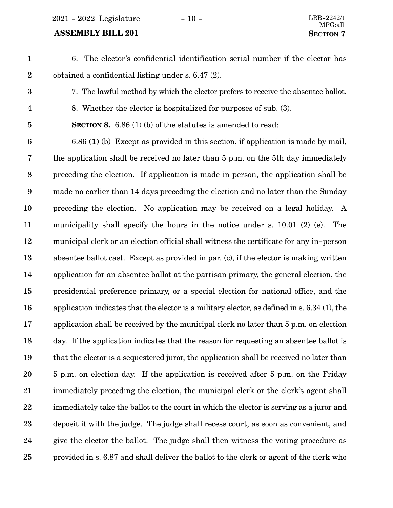2021 - 2022 Legislature - 10 - LRB-2242/1

#### **ASSEMBLY BILL 201 SECTION** 7

4

6. The elector's confidential identification serial number if the elector has obtained a confidential listing under s. 6.47 (2). 1 2

- 7. The lawful method by which the elector prefers to receive the absentee ballot. 3
	- 8. Whether the elector is hospitalized for purposes of sub. (3).
	- **SECTION 8.** 6.86 (1) (b) of the statutes is amended to read: 5

6.86 **(1)** (b) Except as provided in this section, if application is made by mail, the application shall be received no later than 5 p.m. on the 5th day immediately preceding the election. If application is made in person, the application shall be made no earlier than 14 days preceding the election and no later than the Sunday preceding the election. No application may be received on a legal holiday. A municipality shall specify the hours in the notice under s. 10.01 (2) (e). The municipal clerk or an election official shall witness the certificate for any in-person absentee ballot cast. Except as provided in par. (c), if the elector is making written application for an absentee ballot at the partisan primary, the general election, the presidential preference primary, or a special election for national office, and the application indicates that the elector is a military elector, as defined in s. 6.34 (1), the application shall be received by the municipal clerk no later than 5 p.m. on election day. If the application indicates that the reason for requesting an absentee ballot is that the elector is a sequestered juror, the application shall be received no later than 5 p.m. on election day. If the application is received after 5 p.m. on the Friday immediately preceding the election, the municipal clerk or the clerk's agent shall immediately take the ballot to the court in which the elector is serving as a juror and deposit it with the judge. The judge shall recess court, as soon as convenient, and give the elector the ballot. The judge shall then witness the voting procedure as provided in s. 6.87 and shall deliver the ballot to the clerk or agent of the clerk who 6 7 8 9 10 11 12 13 14 15 16 17 18 19 20 21 22 23 24 25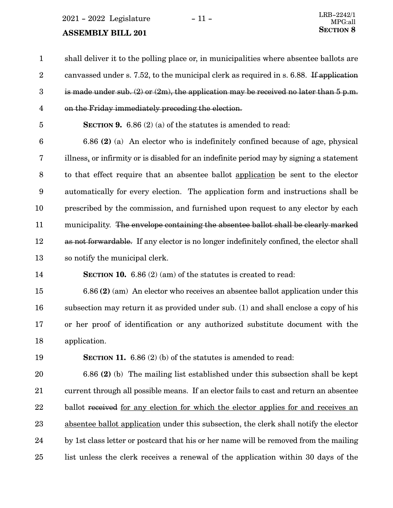$2021 - 2022$  Legislature  $-11 -$ 

## **SECTION 8** SECTION 8

shall deliver it to the polling place or, in municipalities where absentee ballots are canvassed under s. 7.52, to the municipal clerk as required in s. 6.88. If application is made under sub.  $(2)$  or  $(2m)$ , the application may be received no later than 5 p.m. on the Friday immediately preceding the election. 1 2 3 4

5

**SECTION 9.** 6.86 (2) (a) of the statutes is amended to read:

6.86 **(2)** (a) An elector who is indefinitely confined because of age, physical illness, or infirmity or is disabled for an indefinite period may by signing a statement to that effect require that an absentee ballot application be sent to the elector automatically for every election. The application form and instructions shall be prescribed by the commission, and furnished upon request to any elector by each municipality. The envelope containing the absentee ballot shall be clearly marked as not forwardable. If any elector is no longer indefinitely confined, the elector shall so notify the municipal clerk. 6 7 8 9 10 11 12 13

14

**SECTION 10.** 6.86 (2) (am) of the statutes is created to read:

6.86 **(2)** (am) An elector who receives an absentee ballot application under this subsection may return it as provided under sub. (1) and shall enclose a copy of his or her proof of identification or any authorized substitute document with the application. 15 16 17 18

19

**SECTION 11.** 6.86 (2) (b) of the statutes is amended to read:

6.86 **(2)** (b) The mailing list established under this subsection shall be kept current through all possible means. If an elector fails to cast and return an absentee ballot received for any election for which the elector applies for and receives an absentee ballot application under this subsection, the clerk shall notify the elector by 1st class letter or postcard that his or her name will be removed from the mailing list unless the clerk receives a renewal of the application within 30 days of the 20 21 22 23 24 25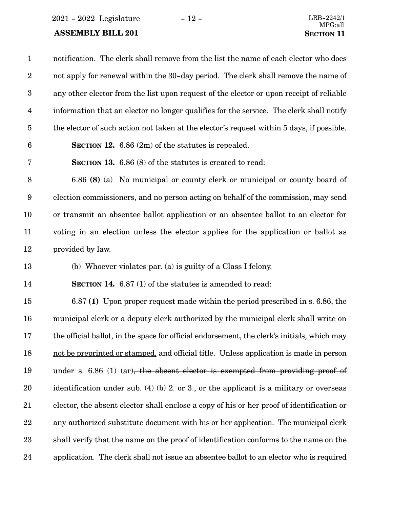$2021 - 2022$  Legislature  $-12 -$ 

### **ASSEMBLY BILL 201**

| $\mathbf{1}$            | notification. The clerk shall remove from the list the name of each elector who does        |
|-------------------------|---------------------------------------------------------------------------------------------|
| $\sqrt{2}$              | not apply for renewal within the 30-day period. The clerk shall remove the name of          |
| $\sqrt{3}$              | any other elector from the list upon request of the elector or upon receipt of reliable     |
| $\overline{\mathbf{4}}$ | information that an elector no longer qualifies for the service. The clerk shall notify     |
| $\overline{5}$          | the elector of such action not taken at the elector's request within 5 days, if possible.   |
| $6\phantom{1}6$         | SECTION 12. $6.86$ (2m) of the statutes is repealed.                                        |
| 7                       | <b>SECTION 13.</b> 6.86 (8) of the statutes is created to read:                             |
| $\, 8$                  | 6.86 (8) (a) No municipal or county clerk or municipal or county board of                   |
| $\boldsymbol{9}$        | election commissioners, and no person acting on behalf of the commission, may send          |
| 10                      | or transmit an absentee ballot application or an absentee ballot to an elector for          |
| 11                      | voting in an election unless the elector applies for the application or ballot as           |
| 12                      | provided by law.                                                                            |
| 13                      | (b) Whoever violates par. (a) is guilty of a Class I felony.                                |
| 14                      | <b>SECTION 14.</b> 6.87 (1) of the statutes is amended to read:                             |
| 15                      | 6.87 (1) Upon proper request made within the period prescribed in s. 6.86, the              |
| 16                      | municipal clerk or a deputy clerk authorized by the municipal clerk shall write on          |
| 17                      | the official ballot, in the space for official endorsement, the clerk's initials, which may |
| 18                      | not be preprinted or stamped, and official title. Unless application is made in person      |
| 19                      | under s. $6.86$ (1) (ar), the absent elector is exempted from providing proof of            |
| 20                      | identification under sub. $(4)$ (b) 2. or 3., or the applicant is a military or overseas    |
| 21                      | elector, the absent elector shall enclose a copy of his or her proof of identification or   |
| 22                      | any authorized substitute document with his or her application. The municipal clerk         |
| 23                      | shall verify that the name on the proof of identification conforms to the name on the       |
| 24                      | application. The clerk shall not issue an absentee ballot to an elector who is required     |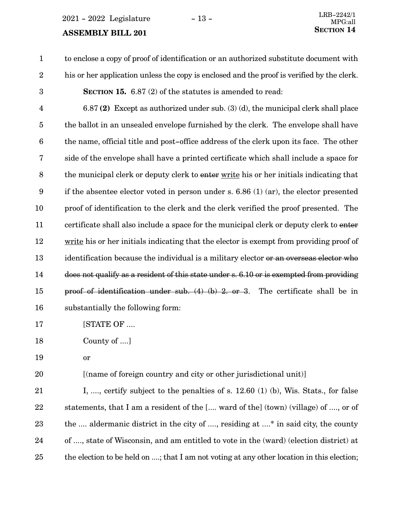$2021 - 2022$  Legislature  $-13 -$ 

## **SECTION** 14

to enclose a copy of proof of identification or an authorized substitute document with his or her application unless the copy is enclosed and the proof is verified by the clerk. **SECTION 15.** 6.87 (2) of the statutes is amended to read: 1 2 3

6.87 **(2)** Except as authorized under sub. (3) (d), the municipal clerk shall place the ballot in an unsealed envelope furnished by the clerk. The envelope shall have the name, official title and post-office address of the clerk upon its face. The other side of the envelope shall have a printed certificate which shall include a space for the municipal clerk or deputy clerk to enter write his or her initials indicating that if the absentee elector voted in person under s. 6.86 (1) (ar), the elector presented proof of identification to the clerk and the clerk verified the proof presented. The certificate shall also include a space for the municipal clerk or deputy clerk to enter write his or her initials indicating that the elector is exempt from providing proof of identification because the individual is a military elector or an overseas elector who does not qualify as a resident of this state under s. 6.10 or is exempted from providing proof of identification under sub. (4) (b) 2. or 3. The certificate shall be in substantially the following form: 4 5 6 7 8 9 10 11 12 13 14 15 16

- [STATE OF .... 17
- County of ....] 18

or

19

[(name of foreign country and city or other jurisdictional unit)] 20

I, ...., certify subject to the penalties of s. 12.60 (1) (b), Wis. Stats., for false statements, that I am a resident of the [.... ward of the] (town) (village) of ...., or of the .... aldermanic district in the city of ...., residing at ....\* in said city, the county of ...., state of Wisconsin, and am entitled to vote in the (ward) (election district) at the election to be held on ....; that I am not voting at any other location in this election; 21 22 23 24 25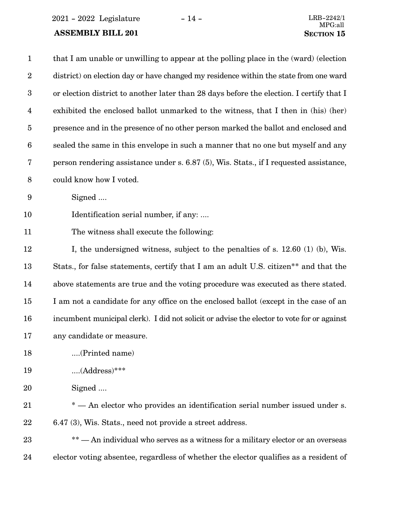2021 - 2022 Legislature - 14 - LRB-2242/1

### **ASSEMBLY BILL 201**

| $\mathbf{1}$            | that I am unable or unwilling to appear at the polling place in the (ward) (election             |
|-------------------------|--------------------------------------------------------------------------------------------------|
| $\boldsymbol{2}$        | district) on election day or have changed my residence within the state from one ward            |
| $\boldsymbol{3}$        | or election district to another later than 28 days before the election. I certify that I         |
| $\overline{\mathbf{4}}$ | exhibited the enclosed ballot unmarked to the witness, that I then in (his) (her)                |
| $\overline{5}$          | presence and in the presence of no other person marked the ballot and enclosed and               |
| $\boldsymbol{6}$        | sealed the same in this envelope in such a manner that no one but myself and any                 |
| $\bf 7$                 | person rendering assistance under s. 6.87 (5), Wis. Stats., if I requested assistance,           |
| $8\,$                   | could know how I voted.                                                                          |
| $\boldsymbol{9}$        | Signed                                                                                           |
| 10                      | Identification serial number, if any:                                                            |
| 11                      | The witness shall execute the following:                                                         |
| 12                      | I, the undersigned witness, subject to the penalties of s. 12.60 (1) (b), Wis.                   |
| 13                      | Stats., for false statements, certify that I am an adult U.S. citizen <sup>**</sup> and that the |
| 14                      | above statements are true and the voting procedure was executed as there stated.                 |
| 15                      | I am not a candidate for any office on the enclosed ballot (except in the case of an             |
| 16                      | incumbent municipal clerk). I did not solicit or advise the elector to vote for or against       |
| 17                      | any candidate or measure.                                                                        |
| 18                      | (Printed name)                                                                                   |
| 19                      | $(Address)$ ***                                                                                  |
| 20                      | Signed                                                                                           |
| 21                      | * - An elector who provides an identification serial number issued under s.                      |
| 22                      | 6.47 (3), Wis. Stats., need not provide a street address.                                        |
| 23                      | ** - An individual who serves as a witness for a military elector or an overseas                 |

elector voting absentee, regardless of whether the elector qualifies as a resident of 24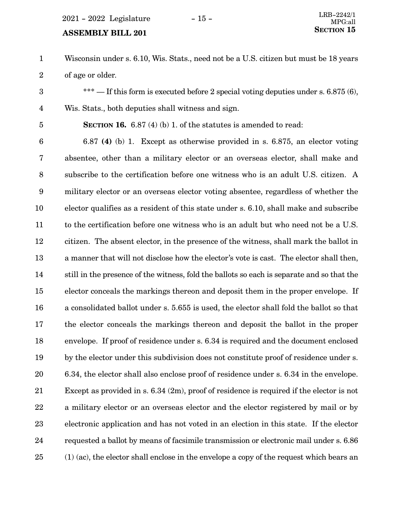## **SECTION 15 SECTION** 15

- Wisconsin under s. 6.10, Wis. Stats., need not be a U.S. citizen but must be 18 years of age or older. 1 2
- \*\*\* If this form is executed before 2 special voting deputies under s. 6.875 (6), Wis. Stats., both deputies shall witness and sign. 3 4
- 5

**SECTION 16.** 6.87 (4) (b) 1. of the statutes is amended to read:

6.87 **(4)** (b) 1. Except as otherwise provided in s. 6.875, an elector voting absentee, other than a military elector or an overseas elector, shall make and subscribe to the certification before one witness who is an adult U.S. citizen. A military elector or an overseas elector voting absentee, regardless of whether the elector qualifies as a resident of this state under s. 6.10, shall make and subscribe to the certification before one witness who is an adult but who need not be a U.S. citizen. The absent elector, in the presence of the witness, shall mark the ballot in a manner that will not disclose how the elector's vote is cast. The elector shall then, still in the presence of the witness, fold the ballots so each is separate and so that the elector conceals the markings thereon and deposit them in the proper envelope. If a consolidated ballot under s. 5.655 is used, the elector shall fold the ballot so that the elector conceals the markings thereon and deposit the ballot in the proper envelope. If proof of residence under s. 6.34 is required and the document enclosed by the elector under this subdivision does not constitute proof of residence under s. 6.34, the elector shall also enclose proof of residence under s. 6.34 in the envelope. Except as provided in s. 6.34 (2m), proof of residence is required if the elector is not a military elector or an overseas elector and the elector registered by mail or by electronic application and has not voted in an election in this state. If the elector requested a ballot by means of facsimile transmission or electronic mail under s. 6.86 (1) (ac), the elector shall enclose in the envelope a copy of the request which bears an 6 7 8 9 10 11 12 13 14 15 16 17 18 19 20 21 22 23 24 25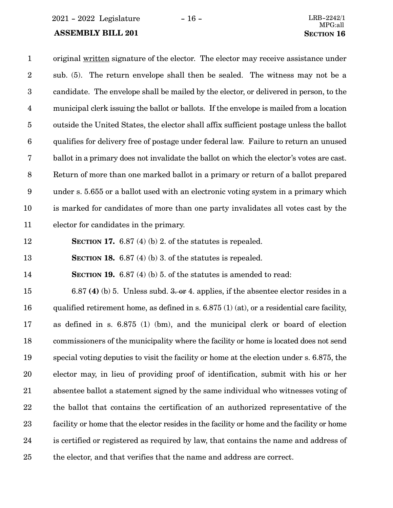2021 - 2022 Legislature - 16 - LRB-2242/1

#### **ASSEMBLY BILL 201 SECTION 16**

original written signature of the elector. The elector may receive assistance under sub. (5). The return envelope shall then be sealed. The witness may not be a candidate. The envelope shall be mailed by the elector, or delivered in person, to the municipal clerk issuing the ballot or ballots. If the envelope is mailed from a location outside the United States, the elector shall affix sufficient postage unless the ballot qualifies for delivery free of postage under federal law. Failure to return an unused ballot in a primary does not invalidate the ballot on which the elector's votes are cast. Return of more than one marked ballot in a primary or return of a ballot prepared under s. 5.655 or a ballot used with an electronic voting system in a primary which is marked for candidates of more than one party invalidates all votes cast by the elector for candidates in the primary. **SECTION 17.** 6.87 (4) (b) 2. of the statutes is repealed. **SECTION 18.** 6.87 (4) (b) 3. of the statutes is repealed. **SECTION 19.** 6.87 (4) (b) 5. of the statutes is amended to read: 6.87 **(4)** (b) 5. Unless subd. 3. or 4. applies, if the absentee elector resides in a qualified retirement home, as defined in s. 6.875 (1) (at), or a residential care facility, as defined in s. 6.875 (1) (bm), and the municipal clerk or board of election commissioners of the municipality where the facility or home is located does not send special voting deputies to visit the facility or home at the election under s. 6.875, the elector may, in lieu of providing proof of identification, submit with his or her absentee ballot a statement signed by the same individual who witnesses voting of the ballot that contains the certification of an authorized representative of the facility or home that the elector resides in the facility or home and the facility or home is certified or registered as required by law, that contains the name and address of the elector, and that verifies that the name and address are correct. 1 2 3 4 5 6 7 8 9 10 11 12 13 14 15 16 17 18 19 20 21 22 23 24 25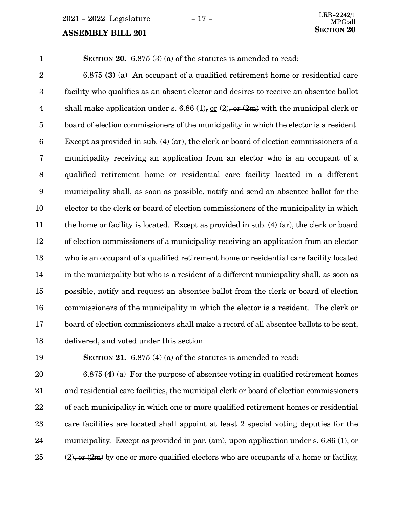## **SECTION** 20 **SECTION** 20

**SECTION 20.** 6.875 (3) (a) of the statutes is amended to read:

6.875 **(3)** (a) An occupant of a qualified retirement home or residential care facility who qualifies as an absent elector and desires to receive an absentee ballot shall make application under s. 6.86 (1), or (2), or  $(2)$ , or  $(4)$  with the municipal clerk or board of election commissioners of the municipality in which the elector is a resident. Except as provided in sub. (4) (ar), the clerk or board of election commissioners of a municipality receiving an application from an elector who is an occupant of a qualified retirement home or residential care facility located in a different municipality shall, as soon as possible, notify and send an absentee ballot for the elector to the clerk or board of election commissioners of the municipality in which the home or facility is located. Except as provided in sub. (4) (ar), the clerk or board of election commissioners of a municipality receiving an application from an elector who is an occupant of a qualified retirement home or residential care facility located in the municipality but who is a resident of a different municipality shall, as soon as possible, notify and request an absentee ballot from the clerk or board of election commissioners of the municipality in which the elector is a resident. The clerk or board of election commissioners shall make a record of all absentee ballots to be sent, delivered, and voted under this section. 2 3 4 5 6 7 8 9 10 11 12 13 14 15 16 17 18

19

1

**SECTION 21.** 6.875 (4) (a) of the statutes is amended to read:

6.875 **(4)** (a) For the purpose of absentee voting in qualified retirement homes and residential care facilities, the municipal clerk or board of election commissioners of each municipality in which one or more qualified retirement homes or residential care facilities are located shall appoint at least 2 special voting deputies for the municipality. Except as provided in par. (am), upon application under s. 6.86  $(1)$ , or  $(2)$ , or  $(2m)$  by one or more qualified electors who are occupants of a home or facility, 20 21 22 23 24 25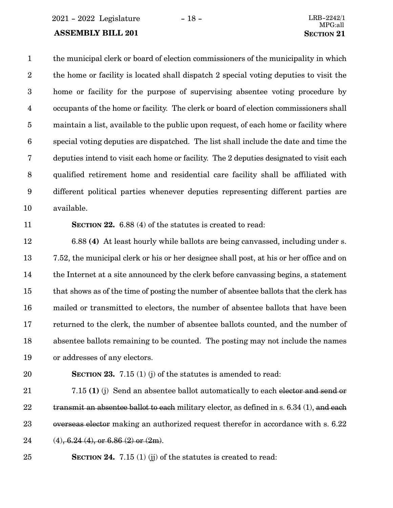2021 - 2022 Legislature - 18 - LRB-2242/1

#### **ASSEMBLY BILL 201 SECTION** 21

the municipal clerk or board of election commissioners of the municipality in which the home or facility is located shall dispatch 2 special voting deputies to visit the home or facility for the purpose of supervising absentee voting procedure by occupants of the home or facility. The clerk or board of election commissioners shall maintain a list, available to the public upon request, of each home or facility where special voting deputies are dispatched. The list shall include the date and time the deputies intend to visit each home or facility. The 2 deputies designated to visit each qualified retirement home and residential care facility shall be affiliated with different political parties whenever deputies representing different parties are available. 1 2 3 4 5 6 7 8 9 10

11

**SECTION 22.** 6.88 (4) of the statutes is created to read:

6.88 **(4)** At least hourly while ballots are being canvassed, including under s. 7.52, the municipal clerk or his or her designee shall post, at his or her office and on the Internet at a site announced by the clerk before canvassing begins, a statement that shows as of the time of posting the number of absentee ballots that the clerk has mailed or transmitted to electors, the number of absentee ballots that have been returned to the clerk, the number of absentee ballots counted, and the number of absentee ballots remaining to be counted. The posting may not include the names or addresses of any electors. 12 13 14 15 16 17 18 19

20

**SECTION 23.** 7.15 (1) (i) of the statutes is amended to read:

7.15 **(1)** (j) Send an absentee ballot automatically to each elector and send or transmit an absentee ballot to each military elector, as defined in s. 6.34 (1), and each overseas elector making an authorized request therefor in accordance with s. 6.22  $(4)$ , 6.24  $(4)$ , or 6.86  $(2)$  or  $(2m)$ . 21 22 23 24

25

**SECTION 24.** 7.15 (1) (ii) of the statutes is created to read: